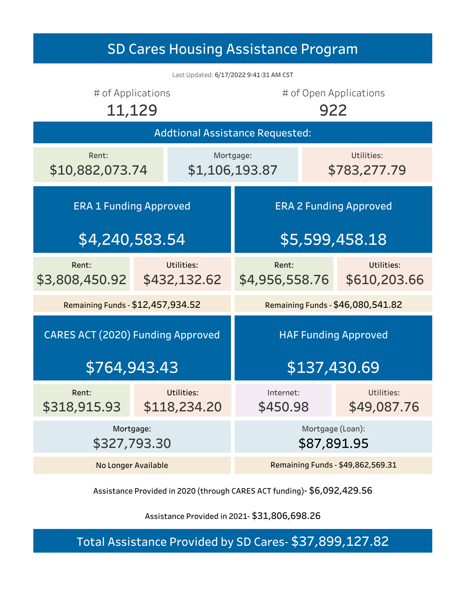| <b>SD Cares Housing Assistance Program</b> |                |                                   |                                   |  |                            |  |  |
|--------------------------------------------|----------------|-----------------------------------|-----------------------------------|--|----------------------------|--|--|
| Last Updated: 6/17/2022 9:41:31 AM CST     |                |                                   |                                   |  |                            |  |  |
| # of Applications<br>11,129                |                |                                   | # of Open Applications<br>922     |  |                            |  |  |
| <b>Addtional Assistance Requested:</b>     |                |                                   |                                   |  |                            |  |  |
| Rent:<br>\$10,882,073.74                   | \$1,106,193.87 |                                   | Mortgage:                         |  | Utilities:<br>\$783,277.79 |  |  |
| <b>ERA 1 Funding Approved</b>              |                |                                   | <b>ERA 2 Funding Approved</b>     |  |                            |  |  |
| \$4,240,583.54                             |                |                                   | \$5,599,458.18                    |  |                            |  |  |
| Rent:<br>\$3,808,450.92                    |                | Utilities:<br>\$432,132.62        | Rent:<br>\$4,956,558.76           |  | Utilities:<br>\$610,203.66 |  |  |
| Remaining Funds - \$12,457,934.52          |                |                                   | Remaining Funds - \$46,080,541.82 |  |                            |  |  |
| <b>CARES ACT (2020) Funding Approved</b>   |                |                                   | <b>HAF Funding Approved</b>       |  |                            |  |  |
| \$764,943.43                               |                |                                   | \$137,430.69                      |  |                            |  |  |
| Rent:<br>\$318,915.93                      |                | Utilities:<br>\$118,234.20        | Internet:<br>\$450.98             |  | Utilities:<br>\$49,087.76  |  |  |
| Mortgage:<br>\$327,793.30                  |                |                                   | Mortgage (Loan):<br>\$87,891.95   |  |                            |  |  |
| <b>No Longer Available</b>                 |                | Remaining Funds - \$49,862,569.31 |                                   |  |                            |  |  |

Assistance Provided in 2020 (through CARES ACT funding)- \$6,092,429.56

Assistance Provided in 2021- \$31,806,698.26

Total Assistance Provided by SD Cares- \$37,899,127.82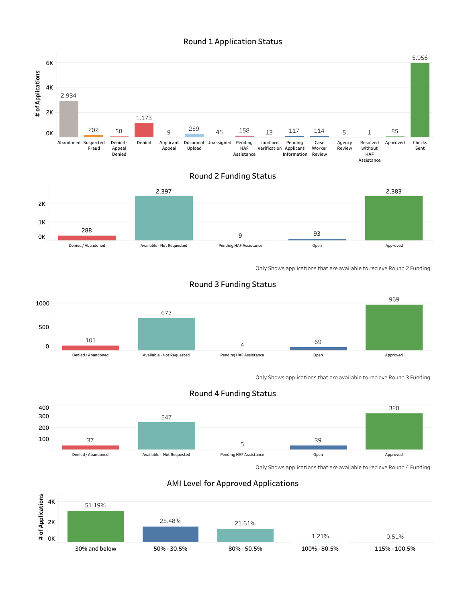





Only Shows applications that are available to recieve Round 2 Funding.



## Round 3 Funding Status

Only Shows applications that are available to recieve Round 3 Funding.





Only Shows applications that are available to recieve Round 4 Funding.



## AMI Level for Approved Applications